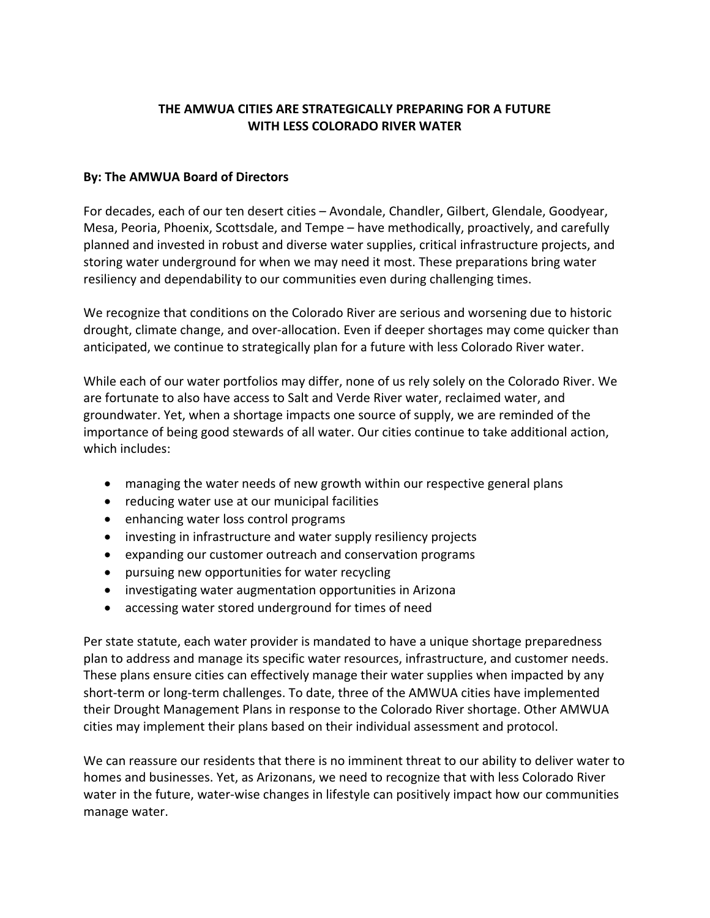## **THE AMWUA CITIES ARE STRATEGICALLY PREPARING FOR A FUTURE WITH LESS COLORADO RIVER WATER**

## **By: The AMWUA Board of Directors**

For decades, each of our ten desert cities – Avondale, Chandler, Gilbert, Glendale, Goodyear, Mesa, Peoria, Phoenix, Scottsdale, and Tempe – have methodically, proactively, and carefully planned and invested in robust and diverse water supplies, critical infrastructure projects, and storing water underground for when we may need it most. These preparations bring water resiliency and dependability to our communities even during challenging times.

We recognize that conditions on the Colorado River are serious and worsening due to historic drought, climate change, and over-allocation. Even if deeper shortages may come quicker than anticipated, we continue to strategically plan for a future with less Colorado River water.

While each of our water portfolios may differ, none of us rely solely on the Colorado River. We are fortunate to also have access to Salt and Verde River water, reclaimed water, and groundwater. Yet, when a shortage impacts one source of supply, we are reminded of the importance of being good stewards of all water. Our cities continue to take additional action, which includes:

- managing the water needs of new growth within our respective general plans
- reducing water use at our municipal facilities
- enhancing water loss control programs
- investing in infrastructure and water supply resiliency projects
- expanding our customer outreach and conservation programs
- pursuing new opportunities for water recycling
- investigating water augmentation opportunities in Arizona
- accessing water stored underground for times of need

Per state statute, each water provider is mandated to have a unique shortage preparedness plan to address and manage its specific water resources, infrastructure, and customer needs. These plans ensure cities can effectively manage their water supplies when impacted by any short-term or long-term challenges. To date, three of the AMWUA cities have implemented their Drought Management Plans in response to the Colorado River shortage. Other AMWUA cities may implement their plans based on their individual assessment and protocol.

We can reassure our residents that there is no imminent threat to our ability to deliver water to homes and businesses. Yet, as Arizonans, we need to recognize that with less Colorado River water in the future, water-wise changes in lifestyle can positively impact how our communities manage water.